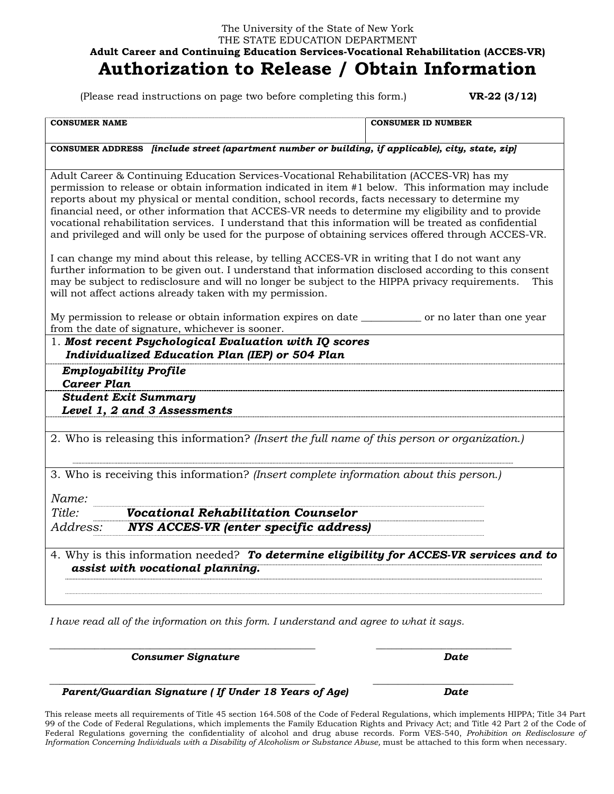## The University of the State of New York THE STATE EDUCATION DEPARTMENT **Adult Career and Continuing Education Services-Vocational Rehabilitation (ACCES-VR) Authorization to Release / Obtain Information**

(Please read instructions on page two before completing this form.) **VR-22 (3/12)** 

| <b>CONSUMER NAME</b>                                                                                                                                                                                                                                                                                                                                                                                                                                                                                                                                                                                                        | <b>CONSUMER ID NUMBER</b> |
|-----------------------------------------------------------------------------------------------------------------------------------------------------------------------------------------------------------------------------------------------------------------------------------------------------------------------------------------------------------------------------------------------------------------------------------------------------------------------------------------------------------------------------------------------------------------------------------------------------------------------------|---------------------------|
| CONSUMER ADDRESS <i>[include street (apartment number or building, if applicable), city, state, zip</i> ]                                                                                                                                                                                                                                                                                                                                                                                                                                                                                                                   |                           |
| Adult Career & Continuing Education Services-Vocational Rehabilitation (ACCES-VR) has my<br>permission to release or obtain information indicated in item #1 below. This information may include<br>reports about my physical or mental condition, school records, facts necessary to determine my<br>financial need, or other information that ACCES-VR needs to determine my eligibility and to provide<br>vocational rehabilitation services. I understand that this information will be treated as confidential<br>and privileged and will only be used for the purpose of obtaining services offered through ACCES-VR. |                           |
| I can change my mind about this release, by telling ACCES-VR in writing that I do not want any<br>further information to be given out. I understand that information disclosed according to this consent<br>may be subject to redisclosure and will no longer be subject to the HIPPA privacy requirements.<br>This<br>will not affect actions already taken with my permission.                                                                                                                                                                                                                                            |                           |
| My permission to release or obtain information expires on date _____________ or no later than one year<br>from the date of signature, whichever is sooner.                                                                                                                                                                                                                                                                                                                                                                                                                                                                  |                           |
| 1. Most recent Psychological Evaluation with IQ scores<br><b>Individualized Education Plan (IEP) or 504 Plan</b>                                                                                                                                                                                                                                                                                                                                                                                                                                                                                                            |                           |
| <b>Employability Profile</b><br><b>Career Plan</b>                                                                                                                                                                                                                                                                                                                                                                                                                                                                                                                                                                          |                           |
| <b>Student Exit Summary</b><br>Level 1, 2 and 3 Assessments                                                                                                                                                                                                                                                                                                                                                                                                                                                                                                                                                                 |                           |
| 2. Who is releasing this information? (Insert the full name of this person or organization.)                                                                                                                                                                                                                                                                                                                                                                                                                                                                                                                                |                           |
| 3. Who is receiving this information? (Insert complete information about this person.)                                                                                                                                                                                                                                                                                                                                                                                                                                                                                                                                      |                           |
| Name:                                                                                                                                                                                                                                                                                                                                                                                                                                                                                                                                                                                                                       |                           |
| Title:<br><b>Vocational Rehabilitation Counselor</b>                                                                                                                                                                                                                                                                                                                                                                                                                                                                                                                                                                        |                           |
| Address:<br><b>NYS ACCES-VR (enter specific address)</b>                                                                                                                                                                                                                                                                                                                                                                                                                                                                                                                                                                    |                           |
| 4. Why is this information needed? To determine eligibility for ACCES-VR services and to<br>assist with vocational planning.                                                                                                                                                                                                                                                                                                                                                                                                                                                                                                |                           |
|                                                                                                                                                                                                                                                                                                                                                                                                                                                                                                                                                                                                                             |                           |

*I have read all of the information on this form. I understand and agree to what it says.* 

\_\_\_\_\_\_\_\_\_\_\_\_\_\_\_\_\_\_\_\_\_\_\_\_\_\_\_\_\_\_\_\_\_\_\_\_\_\_\_\_\_\_\_\_\_\_\_\_\_\_\_\_\_ \_\_\_\_\_\_\_\_\_\_\_\_\_\_\_\_\_\_\_\_\_\_\_\_\_\_\_

\_\_\_\_\_\_\_\_\_\_\_\_\_\_\_\_\_\_\_\_\_\_\_\_\_\_\_\_\_\_\_\_\_\_\_\_\_\_\_\_\_\_\_\_\_\_\_\_\_\_\_\_\_ \_\_\_\_\_\_\_\_\_\_\_\_\_\_\_\_\_\_\_\_\_\_\_\_\_\_\_\_

 *Consumer Signature Date*

 *Parent/Guardian Signature ( If Under 18 Years of Age) Date*

This release meets all requirements of Title 45 section 164.508 of the Code of Federal Regulations, which implements HIPPA; Title 34 Part 99 of the Code of Federal Regulations, which implements the Family Education Rights and Privacy Act; and Title 42 Part 2 of the Code of Federal Regulations governing the confidentiality of alcohol and drug abuse records. Form VES-540, *Prohibition on Redisclosure of Information Concerning Individuals with a Disability of Alcoholism or Substance Abuse*, must be attached to this form when necessary.